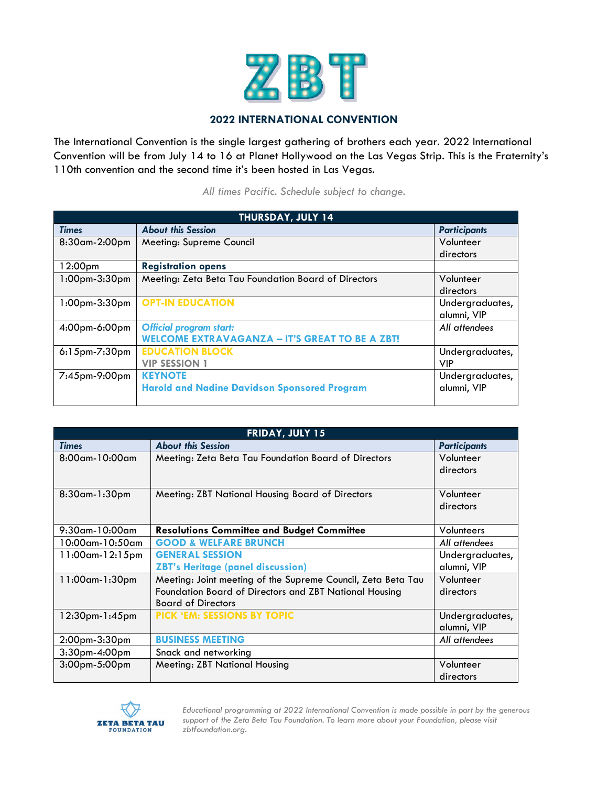

## **2022 INTERNATIONAL CONVENTION**

The International Convention is the single largest gathering of brothers each year. 2022 International Convention will be from July 14 to 16 at Planet Hollywood on the Las Vegas Strip. This is the Fraternity's 110th convention and the second time it's been hosted in Las Vegas.

*All times Pacific. Schedule subject to change.*

| <b>THURSDAY, JULY 14</b> |                                                       |                     |  |  |
|--------------------------|-------------------------------------------------------|---------------------|--|--|
| <b>Times</b>             | <b>About this Session</b>                             | <b>Participants</b> |  |  |
| 8:30am-2:00pm            | Meeting: Supreme Council                              | Volunteer           |  |  |
|                          |                                                       | directors           |  |  |
| 12:00 <sub>pm</sub>      | <b>Registration opens</b>                             |                     |  |  |
| $1:00$ pm- $3:30$ pm     | Meeting: Zeta Beta Tau Foundation Board of Directors  | Volunteer           |  |  |
|                          |                                                       | directors           |  |  |
| $1:00$ pm $-3:30$ pm     | <b>OPT-IN EDUCATION</b>                               | Undergraduates,     |  |  |
|                          |                                                       | alumni, VIP         |  |  |
| $4:00$ pm-6 $:00$ pm     | <b>Official program start:</b>                        | All attendees       |  |  |
|                          | <b>WELCOME EXTRAVAGANZA - IT'S GREAT TO BE A ZBT!</b> |                     |  |  |
| $6:15$ pm- $7:30$ pm     | <b>EDUCATION BLOCK</b>                                | Undergraduates,     |  |  |
|                          | <b>VIP SESSION 1</b>                                  | <b>VIP</b>          |  |  |
| 7:45pm-9:00pm            | <b>KEYNOTE</b>                                        | Undergraduates,     |  |  |
|                          | <b>Harold and Nadine Davidson Sponsored Program</b>   | alumni, VIP         |  |  |
|                          |                                                       |                     |  |  |

| FRIDAY, JULY 15        |                                                              |                     |  |  |
|------------------------|--------------------------------------------------------------|---------------------|--|--|
| <b>Times</b>           | <b>About this Session</b>                                    | <b>Participants</b> |  |  |
| $8:00$ am-10 $:00$ am  | Meeting: Zeta Beta Tau Foundation Board of Directors         | Volunteer           |  |  |
|                        |                                                              | directors           |  |  |
|                        |                                                              |                     |  |  |
| 8:30am-1:30pm          | Meeting: ZBT National Housing Board of Directors             | Volunteer           |  |  |
|                        |                                                              | directors           |  |  |
|                        |                                                              |                     |  |  |
| $9:30$ am-10 $:00$ am  | <b>Resolutions Committee and Budget Committee</b>            | Volunteers          |  |  |
| $10:00$ am- $10:50$ am | <b>GOOD &amp; WELFARE BRUNCH</b>                             | All attendees       |  |  |
| $11:00$ am- $12:15$ pm | <b>GENERAL SESSION</b>                                       | Undergraduates,     |  |  |
|                        | <b>ZBT's Heritage (panel discussion)</b>                     | alumni, VIP         |  |  |
| 11:00am-1:30pm         | Meeting: Joint meeting of the Supreme Council, Zeta Beta Tau | Volunteer           |  |  |
|                        | Foundation Board of Directors and ZBT National Housing       | directors           |  |  |
|                        | <b>Board of Directors</b>                                    |                     |  |  |
| 12:30pm-1:45pm         | PICK 'EM: SESSIONS BY TOPIC                                  | Undergraduates,     |  |  |
|                        |                                                              | alumni, VIP         |  |  |
| $2:00$ pm $-3:30$ pm   | <b>BUSINESS MEETING</b>                                      | All attendees       |  |  |
| 3:30pm-4:00pm          | Snack and networking                                         |                     |  |  |
| 3:00pm-5:00pm          | Meeting: ZBT National Housing                                | Volunteer           |  |  |
|                        |                                                              | directors           |  |  |



*Educational programming at 2022 International Convention is made possible in part by the generous support of the Zeta Beta Tau Foundation. To learn more about your Foundation, please visit zbtfoundation.org.*